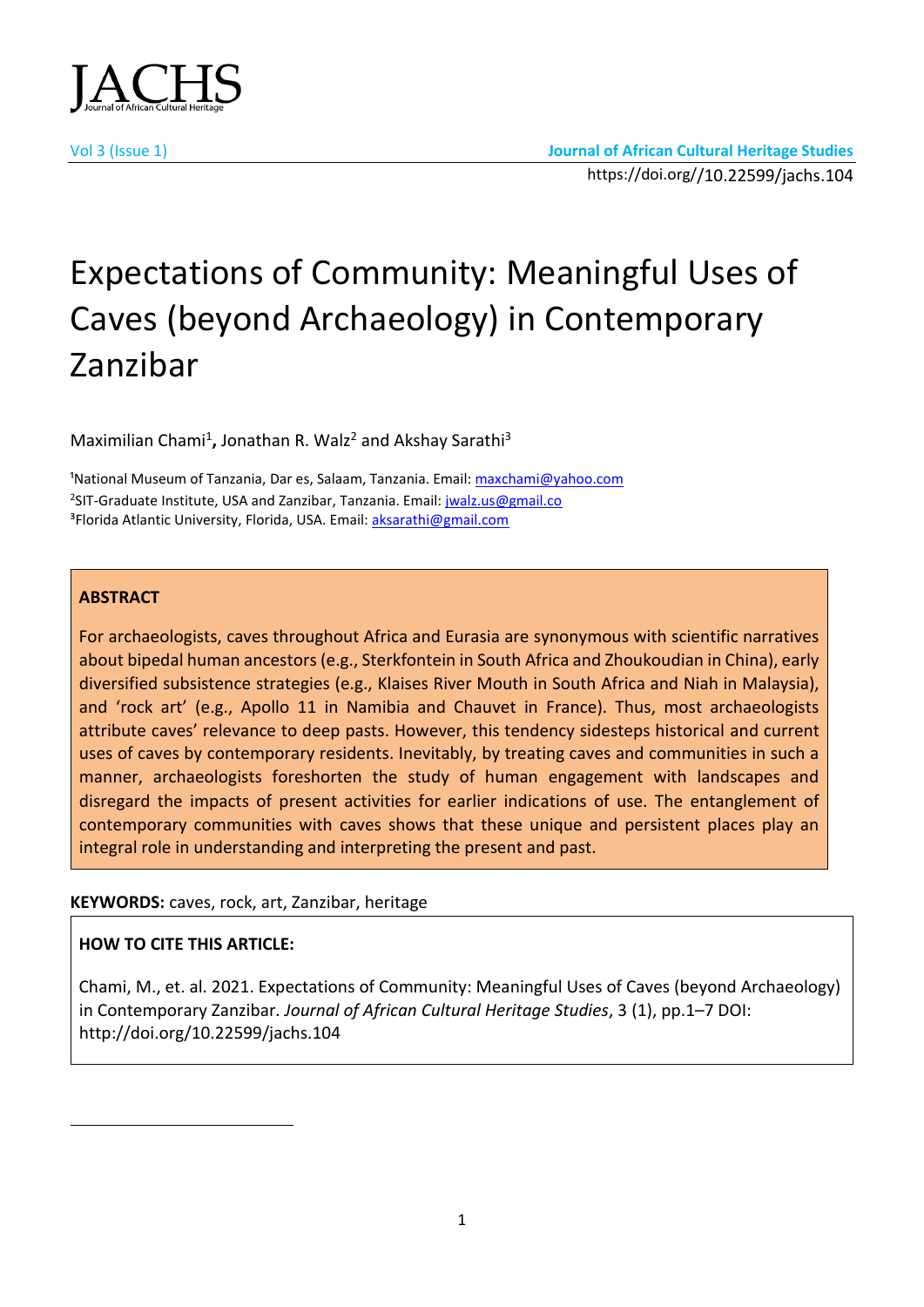

# Expectations of Community: Meaningful Uses of Caves (beyond Archaeology) in Contemporary Zanzibar

Maximilian Chami<sup>1</sup>, Jonathan R. Walz<sup>2</sup> and Akshay Sarathi<sup>3</sup>

<sup>1</sup>National Museum of Tanzania, Dar es, Salaam, Tanzania. Email: [maxchami@yahoo.com](mailto:maxchami@yahoo.com) <sup>2</sup>SIT-Graduate Institute, USA and Zanzibar, Tanzania. Email: *jwalz.us@gmail.co* <sup>3</sup>Florida Atlantic University, Florida, USA. Email: [aksarathi@gmail.com](mailto:aksarathi@gmail.com)

#### **ABSTRACT**

For archaeologists, caves throughout Africa and Eurasia are synonymous with scientific narratives about bipedal human ancestors (e.g., Sterkfontein in South Africa and Zhoukoudian in China), early diversified subsistence strategies (e.g., Klaises River Mouth in South Africa and Niah in Malaysia), and 'rock art' (e.g., Apollo 11 in Namibia and Chauvet in France). Thus, most archaeologists attribute caves' relevance to deep pasts. However, this tendency sidesteps historical and current uses of caves by contemporary residents. Inevitably, by treating caves and communities in such a manner, archaeologists foreshorten the study of human engagement with landscapes and disregard the impacts of present activities for earlier indications of use. The entanglement of contemporary communities with caves shows that these unique and persistent places play an integral role in understanding and interpreting the present and past.

## **KEYWORDS:** caves, rock, art, Zanzibar, heritage

## **HOW TO CITE THIS ARTICLE:**

Chami, M., et. al. 2021. Expectations of Community: Meaningful Uses of Caves (beyond Archaeology) in Contemporary Zanzibar. *Journal of African Cultural Heritage Studies*, 3 (1), pp.1–7 DOI: http://doi.org/10.22599/jachs.104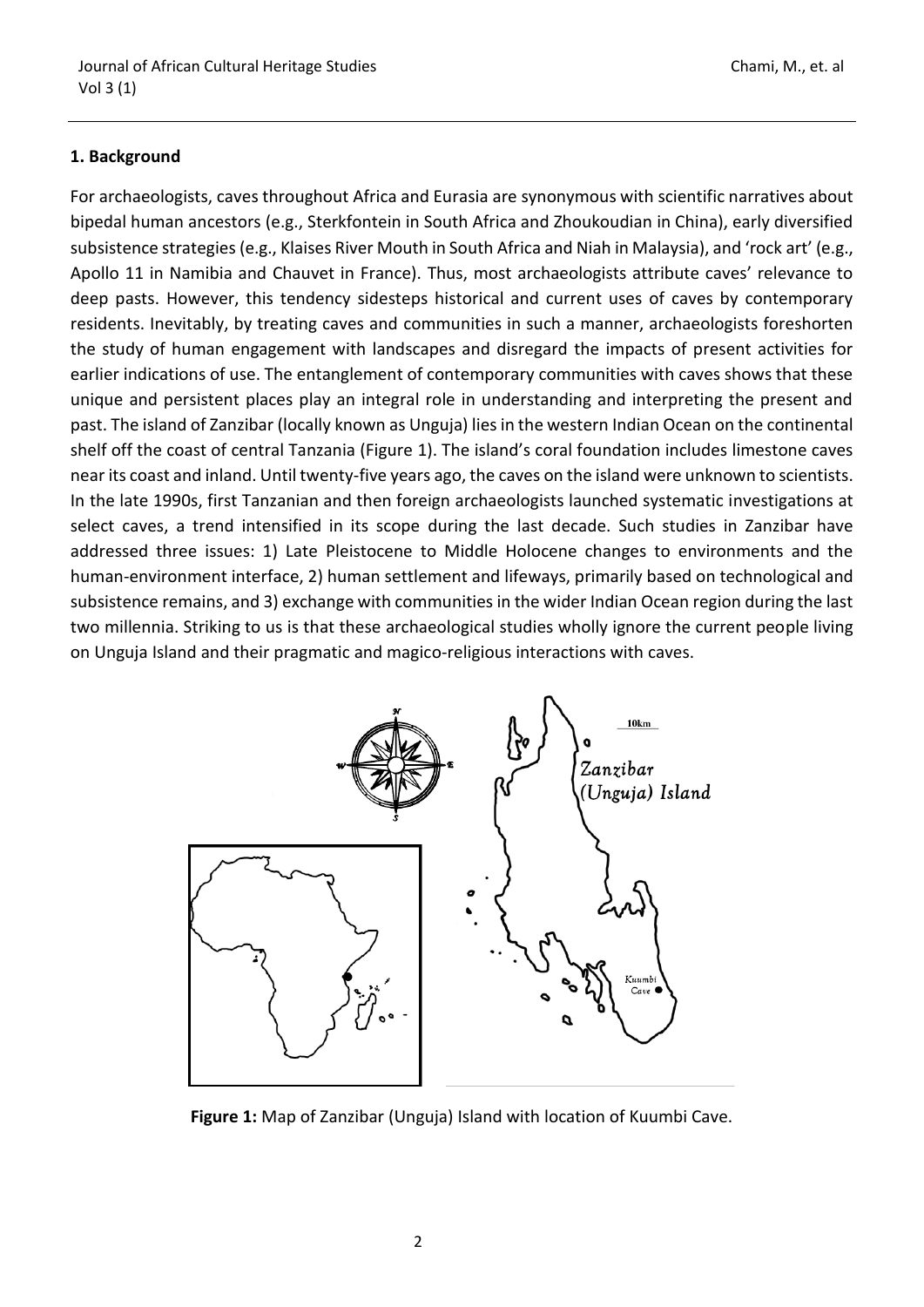### **1. Background**

For archaeologists, caves throughout Africa and Eurasia are synonymous with scientific narratives about bipedal human ancestors (e.g., Sterkfontein in South Africa and Zhoukoudian in China), early diversified subsistence strategies (e.g., Klaises River Mouth in South Africa and Niah in Malaysia), and 'rock art' (e.g., Apollo 11 in Namibia and Chauvet in France). Thus, most archaeologists attribute caves' relevance to deep pasts. However, this tendency sidesteps historical and current uses of caves by contemporary residents. Inevitably, by treating caves and communities in such a manner, archaeologists foreshorten the study of human engagement with landscapes and disregard the impacts of present activities for earlier indications of use. The entanglement of contemporary communities with caves shows that these unique and persistent places play an integral role in understanding and interpreting the present and past. The island of Zanzibar (locally known as Unguja) lies in the western Indian Ocean on the continental shelf off the coast of central Tanzania (Figure 1). The island's coral foundation includes limestone caves near its coast and inland. Until twenty-five years ago, the caves on the island were unknown to scientists. In the late 1990s, first Tanzanian and then foreign archaeologists launched systematic investigations at select caves, a trend intensified in its scope during the last decade. Such studies in Zanzibar have addressed three issues: 1) Late Pleistocene to Middle Holocene changes to environments and the human-environment interface, 2) human settlement and lifeways, primarily based on technological and subsistence remains, and 3) exchange with communities in the wider Indian Ocean region during the last two millennia. Striking to us is that these archaeological studies wholly ignore the current people living on Unguja Island and their pragmatic and magico-religious interactions with caves.



**Figure 1:** Map of Zanzibar (Unguja) Island with location of Kuumbi Cave.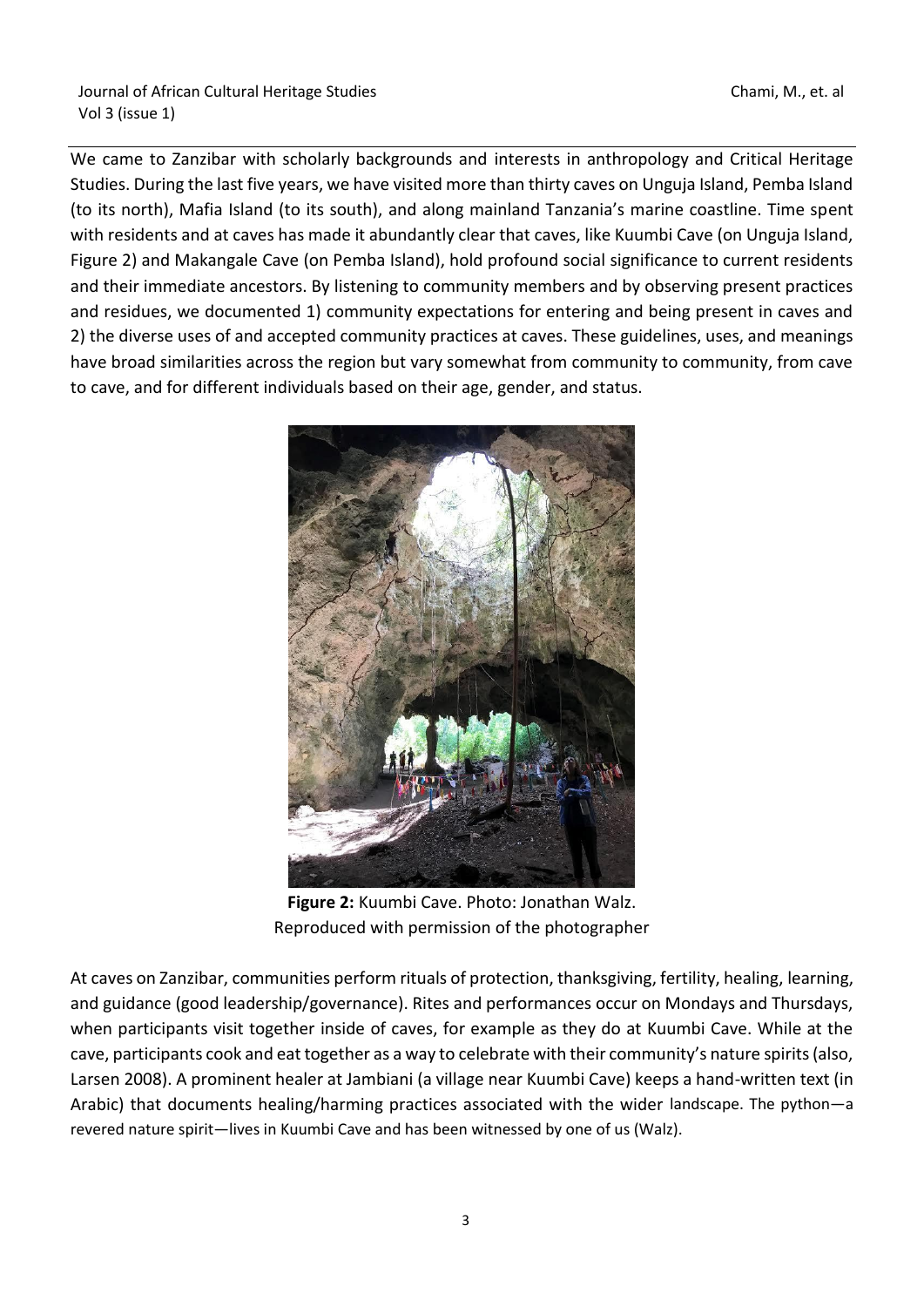We came to Zanzibar with scholarly backgrounds and interests in anthropology and Critical Heritage Studies. During the last five years, we have visited more than thirty caves on Unguja Island, Pemba Island (to its north), Mafia Island (to its south), and along mainland Tanzania's marine coastline. Time spent with residents and at caves has made it abundantly clear that caves, like Kuumbi Cave (on Unguja Island, Figure 2) and Makangale Cave (on Pemba Island), hold profound social significance to current residents and their immediate ancestors. By listening to community members and by observing present practices and residues, we documented 1) community expectations for entering and being present in caves and 2) the diverse uses of and accepted community practices at caves. These guidelines, uses, and meanings have broad similarities across the region but vary somewhat from community to community, from cave to cave, and for different individuals based on their age, gender, and status.



**Figure 2:** Kuumbi Cave. Photo: Jonathan Walz. Reproduced with permission of the photographer

At caves on Zanzibar, communities perform rituals of protection, thanksgiving, fertility, healing, learning, and guidance (good leadership/governance). Rites and performances occur on Mondays and Thursdays, when participants visit together inside of caves, for example as they do at Kuumbi Cave. While at the cave, participants cook and eat together as a way to celebrate with their community's nature spirits (also, Larsen 2008). A prominent healer at Jambiani (a village near Kuumbi Cave) keeps a hand-written text (in Arabic) that documents healing/harming practices associated with the wider landscape. The python—a revered nature spirit—lives in Kuumbi Cave and has been witnessed by one of us (Walz).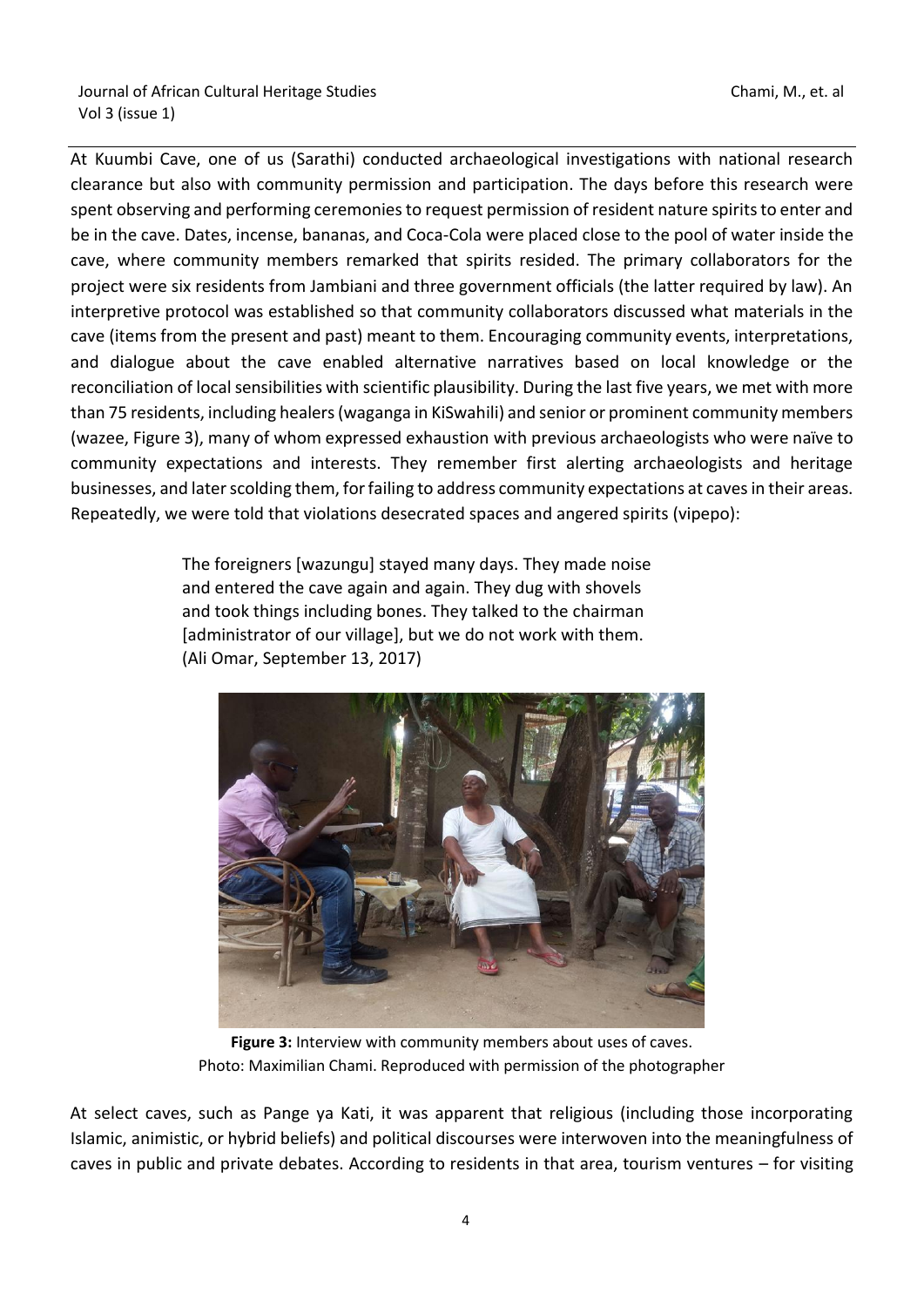At Kuumbi Cave, one of us (Sarathi) conducted archaeological investigations with national research clearance but also with community permission and participation. The days before this research were spent observing and performing ceremonies to request permission of resident nature spirits to enter and be in the cave. Dates, incense, bananas, and Coca-Cola were placed close to the pool of water inside the cave, where community members remarked that spirits resided. The primary collaborators for the project were six residents from Jambiani and three government officials (the latter required by law). An interpretive protocol was established so that community collaborators discussed what materials in the cave (items from the present and past) meant to them. Encouraging community events, interpretations, and dialogue about the cave enabled alternative narratives based on local knowledge or the reconciliation of local sensibilities with scientific plausibility. During the last five years, we met with more than 75 residents, including healers (waganga in KiSwahili) and senior or prominent community members (wazee, Figure 3), many of whom expressed exhaustion with previous archaeologists who were naïve to community expectations and interests. They remember first alerting archaeologists and heritage businesses, and later scolding them, for failing to address community expectations at caves in their areas. Repeatedly, we were told that violations desecrated spaces and angered spirits (vipepo):

> The foreigners [wazungu] stayed many days. They made noise and entered the cave again and again. They dug with shovels and took things including bones. They talked to the chairman [administrator of our village], but we do not work with them. (Ali Omar, September 13, 2017)



**Figure 3:** Interview with community members about uses of caves. Photo: Maximilian Chami. Reproduced with permission of the photographer

At select caves, such as Pange ya Kati, it was apparent that religious (including those incorporating Islamic, animistic, or hybrid beliefs) and political discourses were interwoven into the meaningfulness of caves in public and private debates. According to residents in that area, tourism ventures – for visiting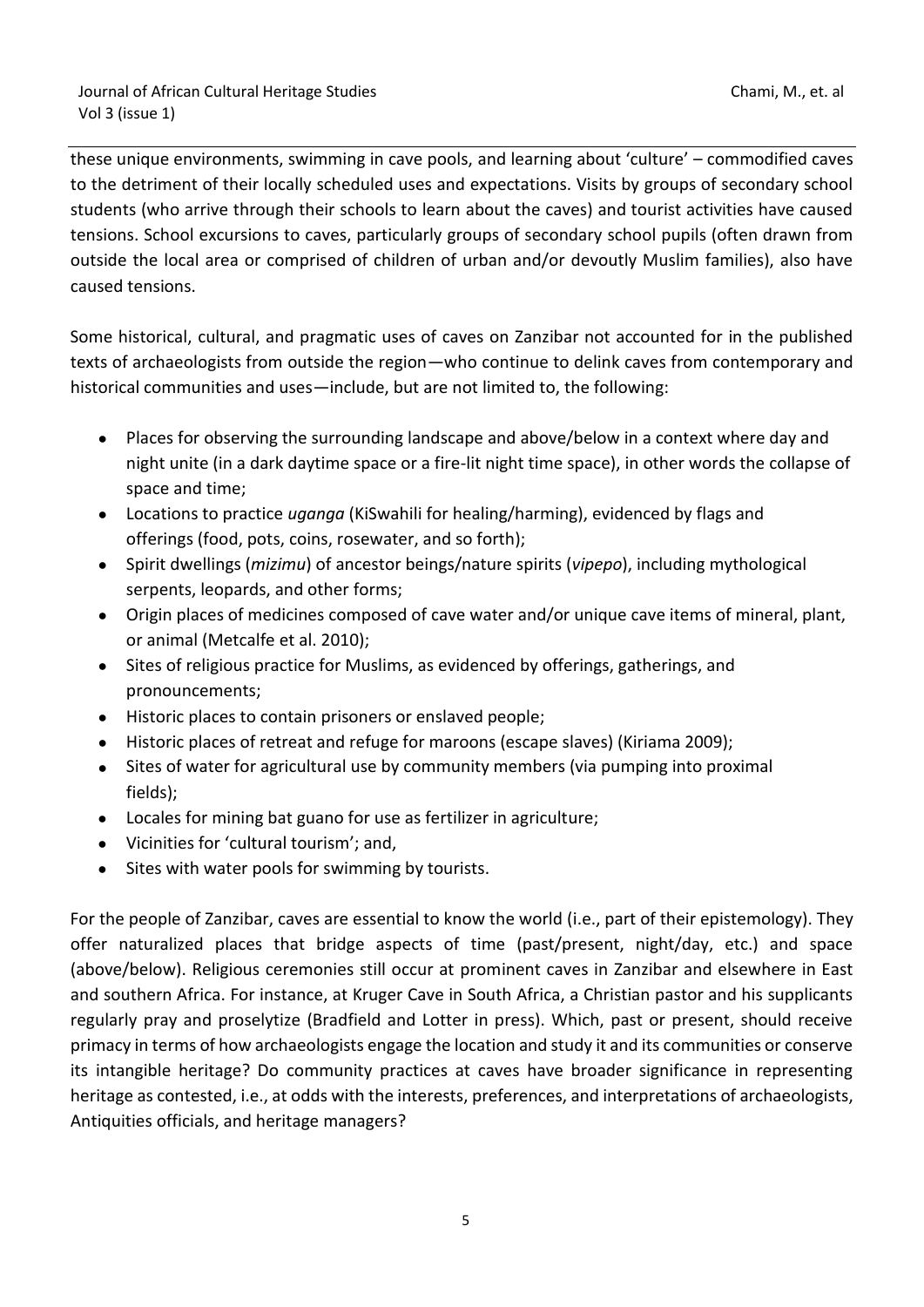these unique environments, swimming in cave pools, and learning about 'culture' – commodified caves to the detriment of their locally scheduled uses and expectations. Visits by groups of secondary school students (who arrive through their schools to learn about the caves) and tourist activities have caused tensions. School excursions to caves, particularly groups of secondary school pupils (often drawn from outside the local area or comprised of children of urban and/or devoutly Muslim families), also have caused tensions.

Some historical, cultural, and pragmatic uses of caves on Zanzibar not accounted for in the published texts of archaeologists from outside the region—who continue to delink caves from contemporary and historical communities and uses—include, but are not limited to, the following:

- Places for observing the surrounding landscape and above/below in a context where day and night unite (in a dark daytime space or a fire-lit night time space), in other words the collapse of space and time;
- Locations to practice *uganga* (KiSwahili for healing/harming), evidenced by flags and offerings (food, pots, coins, rosewater, and so forth);
- Spirit dwellings (*mizimu*) of ancestor beings/nature spirits (*vipepo*), including mythological serpents, leopards, and other forms;
- Origin places of medicines composed of cave water and/or unique cave items of mineral, plant, or animal (Metcalfe et al. 2010);
- Sites of religious practice for Muslims, as evidenced by offerings, gatherings, and pronouncements;
- Historic places to contain prisoners or enslaved people;
- Historic places of retreat and refuge for maroons (escape slaves) (Kiriama 2009);
- Sites of water for agricultural use by community members (via pumping into proximal fields);
- Locales for mining bat guano for use as fertilizer in agriculture;
- Vicinities for 'cultural tourism'; and,
- Sites with water pools for swimming by tourists.

For the people of Zanzibar, caves are essential to know the world (i.e., part of their epistemology). They offer naturalized places that bridge aspects of time (past/present, night/day, etc.) and space (above/below). Religious ceremonies still occur at prominent caves in Zanzibar and elsewhere in East and southern Africa. For instance, at Kruger Cave in South Africa, a Christian pastor and his supplicants regularly pray and proselytize (Bradfield and Lotter in press). Which, past or present, should receive primacy in terms of how archaeologists engage the location and study it and its communities or conserve its intangible heritage? Do community practices at caves have broader significance in representing heritage as contested, i.e., at odds with the interests, preferences, and interpretations of archaeologists, Antiquities officials, and heritage managers?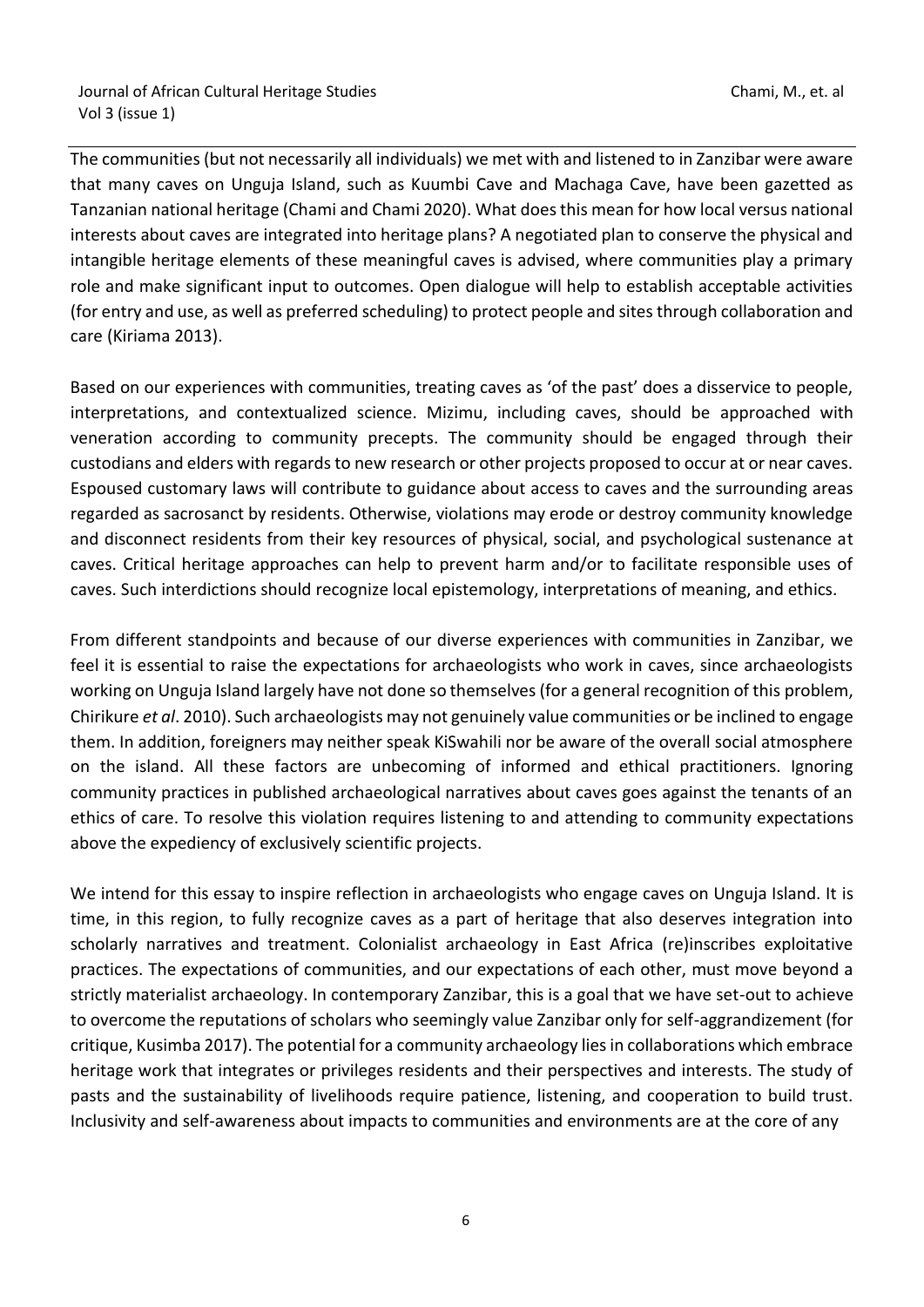The communities (but not necessarily all individuals) we met with and listened to in Zanzibar were aware that many caves on Unguja Island, such as Kuumbi Cave and Machaga Cave, have been gazetted as Tanzanian national heritage (Chami and Chami 2020). What does this mean for how local versus national interests about caves are integrated into heritage plans? A negotiated plan to conserve the physical and intangible heritage elements of these meaningful caves is advised, where communities play a primary role and make significant input to outcomes. Open dialogue will help to establish acceptable activities (for entry and use, as well as preferred scheduling) to protect people and sites through collaboration and care (Kiriama 2013).

Based on our experiences with communities, treating caves as 'of the past' does a disservice to people, interpretations, and contextualized science. Mizimu, including caves, should be approached with veneration according to community precepts. The community should be engaged through their custodians and elders with regards to new research or other projects proposed to occur at or near caves. Espoused customary laws will contribute to guidance about access to caves and the surrounding areas regarded as sacrosanct by residents. Otherwise, violations may erode or destroy community knowledge and disconnect residents from their key resources of physical, social, and psychological sustenance at caves. Critical heritage approaches can help to prevent harm and/or to facilitate responsible uses of caves. Such interdictions should recognize local epistemology, interpretations of meaning, and ethics.

From different standpoints and because of our diverse experiences with communities in Zanzibar, we feel it is essential to raise the expectations for archaeologists who work in caves, since archaeologists working on Unguja Island largely have not done so themselves (for a general recognition of this problem, Chirikure *et al*. 2010). Such archaeologists may not genuinely value communities or be inclined to engage them. In addition, foreigners may neither speak KiSwahili nor be aware of the overall social atmosphere on the island. All these factors are unbecoming of informed and ethical practitioners. Ignoring community practices in published archaeological narratives about caves goes against the tenants of an ethics of care. To resolve this violation requires listening to and attending to community expectations above the expediency of exclusively scientific projects.

We intend for this essay to inspire reflection in archaeologists who engage caves on Unguja Island. It is time, in this region, to fully recognize caves as a part of heritage that also deserves integration into scholarly narratives and treatment. Colonialist archaeology in East Africa (re)inscribes exploitative practices. The expectations of communities, and our expectations of each other, must move beyond a strictly materialist archaeology. In contemporary Zanzibar, this is a goal that we have set-out to achieve to overcome the reputations of scholars who seemingly value Zanzibar only for self-aggrandizement (for critique, Kusimba 2017). The potential for a community archaeology lies in collaborations which embrace heritage work that integrates or privileges residents and their perspectives and interests. The study of pasts and the sustainability of livelihoods require patience, listening, and cooperation to build trust. Inclusivity and self-awareness about impacts to communities and environments are at the core of any